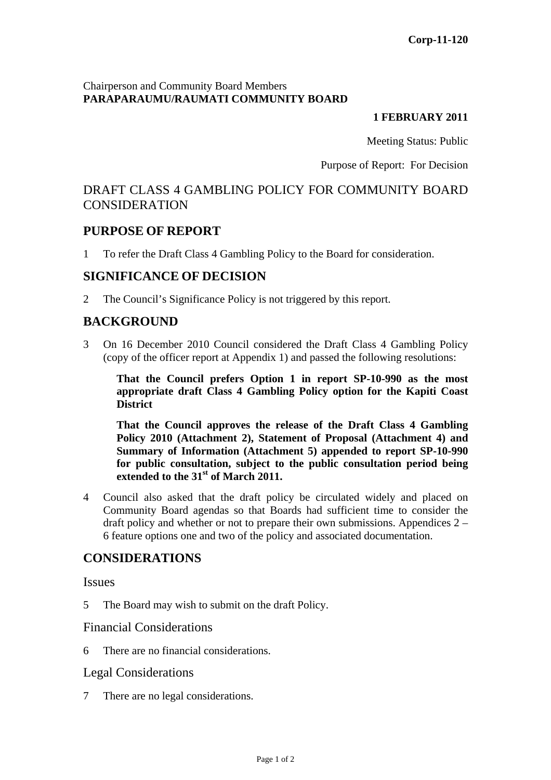### Chairperson and Community Board Members **PARAPARAUMU/RAUMATI COMMUNITY BOARD**

#### **1 FEBRUARY 2011**

Meeting Status: Public

Purpose of Report: For Decision

# DRAFT CLASS 4 GAMBLING POLICY FOR COMMUNITY BOARD CONSIDERATION

## **PURPOSE OF REPORT**

1 To refer the Draft Class 4 Gambling Policy to the Board for consideration.

## **SIGNIFICANCE OF DECISION**

2 The Council's Significance Policy is not triggered by this report.

# **BACKGROUND**

3 On 16 December 2010 Council considered the Draft Class 4 Gambling Policy (copy of the officer report at Appendix 1) and passed the following resolutions:

**That the Council prefers Option 1 in report SP-10-990 as the most appropriate draft Class 4 Gambling Policy option for the Kapiti Coast District** 

**That the Council approves the release of the Draft Class 4 Gambling Policy 2010 (Attachment 2), Statement of Proposal (Attachment 4) and Summary of Information (Attachment 5) appended to report SP-10-990 for public consultation, subject to the public consultation period being extended to the 31st of March 2011.** 

4 Council also asked that the draft policy be circulated widely and placed on Community Board agendas so that Boards had sufficient time to consider the draft policy and whether or not to prepare their own submissions. Appendices 2 – 6 feature options one and two of the policy and associated documentation.

# **CONSIDERATIONS**

**Issues** 

5 The Board may wish to submit on the draft Policy.

### Financial Considerations

6 There are no financial considerations.

### Legal Considerations

7 There are no legal considerations.